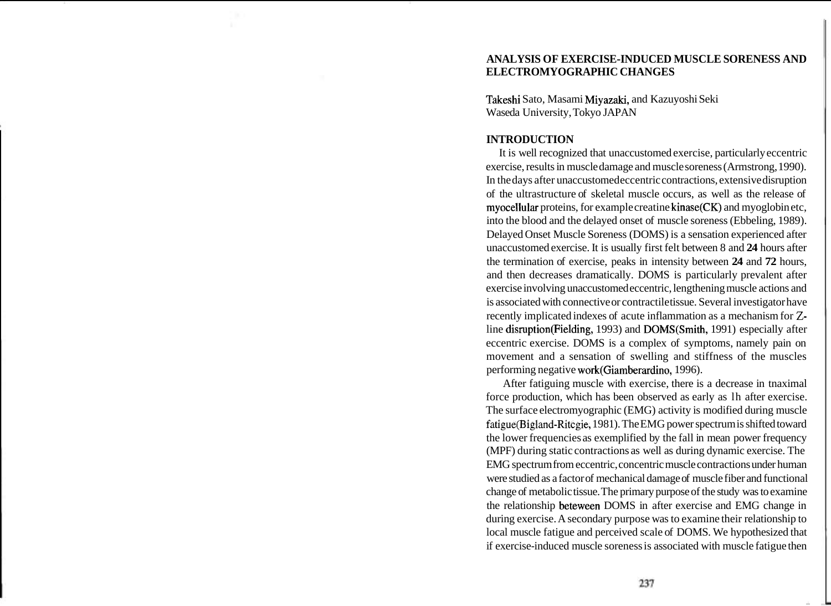# **ANALYSIS OF EXERCISE-INDUCED MUSCLE SORENESS AND ELECTROMYOGRAPHIC CHANGES**

Takeshi Sato, Masami Miyazaki, and Kazuyoshi Seki Waseda University, Tokyo JAPAN

# **INTRODUCTION**

It is well recognized that unaccustomed exercise, particularly eccentric exercise, results in muscle damage and muscle soreness (Armstrong, 1990). In the days after unaccustomed eccentric contractions, extensive disruption of the ultrastructure of skeletal muscle occurs, as well as the release of myocellular proteins, for example creatine kinase(CK) and myoglobin etc, into the blood and the delayed onset of muscle soreness (Ebbeling, 1989). Delayed Onset Muscle Soreness (DOMS) is a sensation experienced after unaccustomed exercise. It is usually first felt between 8 and **24** hours after the termination of exercise, peaks in intensity between **24** and **72** hours, and then decreases dramatically. DOMS is particularly prevalent after exercise involving unaccustomed eccentric, lengthening muscle actions and is associated with connective or contractile tissue. Several investigator have recently implicated indexes of acute inflammation as a mechanism for **Z**line disruption(Fielding, 1993) and DOMS(Smith, 1991) especially after eccentric exercise. DOMS is a complex of symptoms, namely pain on movement and a sensation of swelling and stiffness of the muscles performing negative work(Giamberardin0, 1996).

After fatiguing muscle with exercise, there is a decrease in tnaximal force production, which has been observed as early as lh after exercise. The surface electromyographic (EMG) activity is modified during muscle fatigue(Bigland-Ritcgie, 1981). The EMG power spectrum is shifted toward the lower frequencies as exemplified by the fall in mean power frequency (MPF) during static contractions as well as during dynamic exercise. The EMG spectrum from eccentric, concentric muscle contractions under human were studied as a factor of mechanical damage of muscle fiber and functional change of metabolic tissue. The primary purpose of the study was to examine the relationship beteween DOMS in after exercise and EMG change in during exercise. A secondary purpose was to examine their relationship to local muscle fatigue and perceived scale of DOMS. We hypothesized that if exercise-induced muscle soreness is associated with muscle fatigue then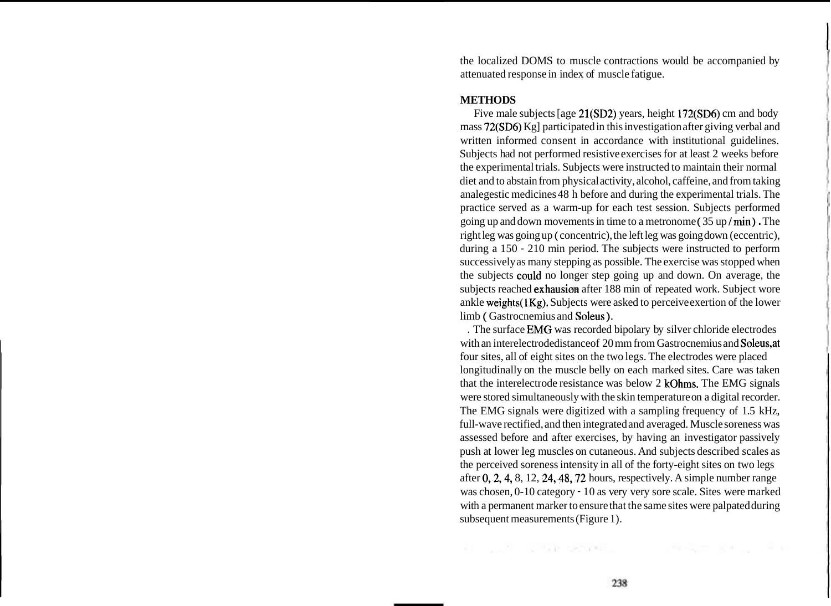the localized DOMS to muscle contractions would be accompanied by attenuated response in index of muscle fatigue.

### **METHODS**

Five male subjects [age 21(SD2) years, height 172(SD6) cm and body mass 72(SD6) Kg] participated in this investigation after giving verbal and written informed consent in accordance with institutional guidelines. Subjects had not performed resistive exercises for at least 2 weeks before the experimental trials. Subjects were instructed to maintain their normal diet and to abstain from physical activity, alcohol, caffeine, and from taking analegestic medicines 48 h before and during the experimental trials. The practice served as a warm-up for each test session. Subjects performed going up and down movements in time to a metronome ( 35 up / rnin ) . The right leg was going up ( concentric), the left leg was going down (eccentric), during a 150 - 210 min period. The subjects were instructed to perform successively as many stepping as possible. The exercise was stopped when the subjects could no longer step going up and down. On average, the subjects reached exhausion after 188 min of repeated work. Subject wore ankle weights(1Kg). Subjects were asked to perceive exertion of the lower limb ( Gastrocnemius and Soleus ).

. The surface EMG was recorded bipolary by silver chloride electrodes with an interelectrode distance of 20 mm from Gastrocnemius and Soleus, at four sites, all of eight sites on the two legs. The electrodes were placed longitudinally on the muscle belly on each marked sites. Care was taken that the interelectrode resistance was below 2 kOhms. The EMG signals were stored simultaneously with the skin temperature on a digital recorder. The EMG signals were digitized with a sampling frequency of 1.5 kHz, full-wave rectified, and then integrated and averaged. Muscle soreness was assessed before and after exercises, by having an investigator passively push at lower leg muscles on cutaneous. And subjects described scales as the perceived soreness intensity in all of the forty-eight sites on two legs after 0,2,4, 8, 12, 24,48,72 hours, respectively. A simple number range was chosen, 0-10 category - 10 as very very sore scale. Sites were marked with a permanent marker to ensure that the same sites were palpated during subsequent measurements (Figure 1).

11 12 13 13 13 13 13 13 14 15 16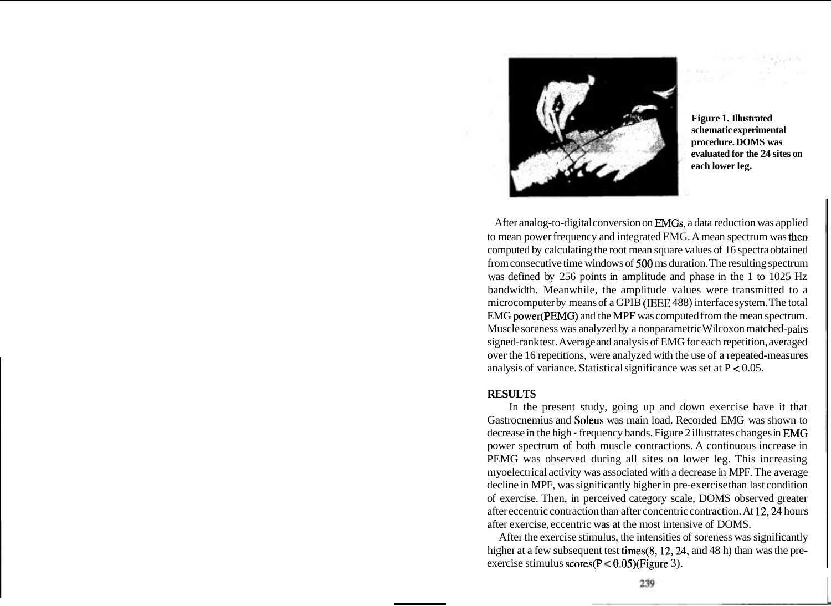

**Figure 1. Illustrated schematic experimental procedure. DOMS was evaluated for the 24 sites on each lower leg.** 

After analog-to-digital conversion on EMGs, a data reduction was applied to mean power frequency and integrated EMG. A mean spectrum was then computed by calculating the root mean square values of 16 spectra obtained from consecutive time windows of 500 ms duration. The resulting spectrum was defined by 256 points in amplitude and phase in the 1 to 1025 Hz bandwidth. Meanwhile, the amplitude values were transmitted to a microcomputer by means of a GPIB (IEEE 488) interface system. The total EMG power(PEMG) and the MPF was computed from the mean spectrum. Muscle soreness was analyzed by a nonparametric Wilcoxon matched-pairs signed-rank test. Average and analysis of EMG for each repetition, averaged over the 16 repetitions, were analyzed with the use of a repeated-measures analysis of variance. Statistical significance was set at  $P < 0.05$ .

### **RESULTS**

In the present study, going up and down exercise have it that Gastrocnemius and Soleus was main load. Recorded EMG was shown to decrease in the high - frequency bands. Figure 2 illustrates changes in EMG power spectrum of both muscle contractions. A continuous increase in PEMG was observed during all sites on lower leg. This increasing myoelectrical activity was associated with a decrease in MPF. The average decline in MPF, was significantly higher in pre-exercise than last condition of exercise. Then, in perceived category scale, DOMS observed greater after eccentric contraction than after concentric contraction. At 12,24 hours after exercise, eccentric was at the most intensive of DOMS.

After the exercise stimulus, the intensities of soreness was significantly higher at a few subsequent test times(8, 12, 24, and 48 h) than was the preexercise stimulus scores( $P \le 0.05$ )(Figure 3).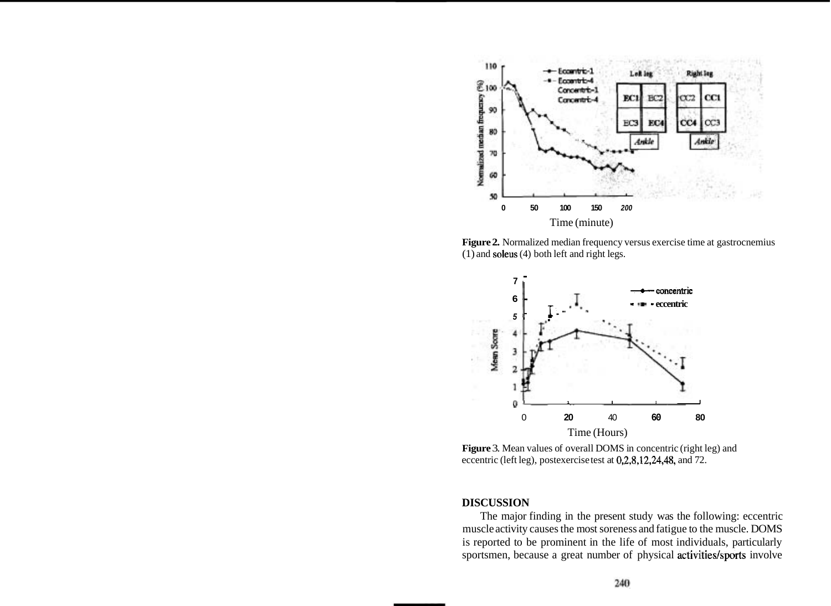

**Figure 2.** Normalized median frequency versus exercise time at gastrocnemius (1) and soleus (4) both left and right legs.



**Figure** 3. Mean values of overall DOMS in concentric (right leg) and eccentric (left leg), postexercise test at 0,2,8,12,24,48, and 72.

#### **DISCUSSION**

The major finding in the present study was the following: eccentric muscle activity causes the most soreness and fatigue to the muscle. DOMS is reported to be prominent in the life of most individuals, particularly sportsmen, because a great number of physical activities/sports involve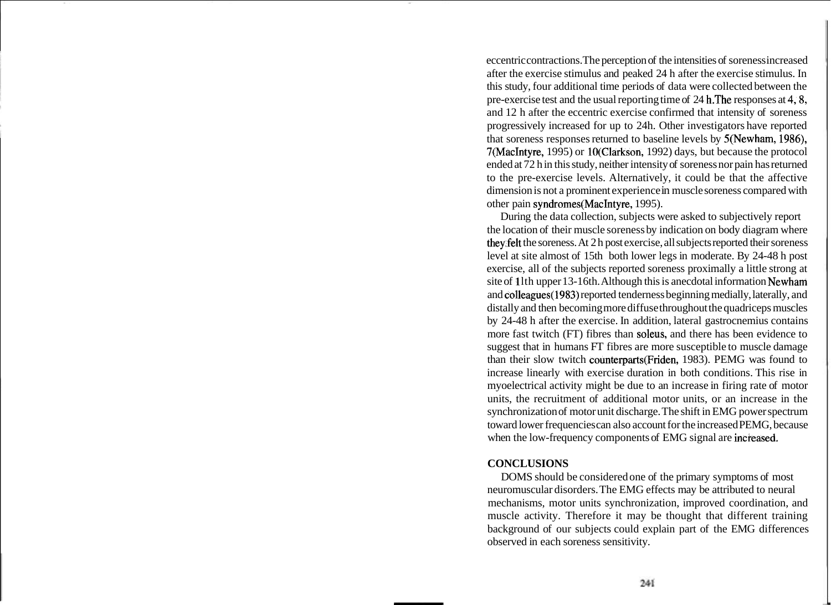eccentric contractions. The perception of the intensities of soreness increased after the exercise stimulus and peaked 24 h after the exercise stimulus. In this study, four additional time periods of data were collected between the pre-exercise test and the usual reporting time of 24 h.The responses at 4,8, and 12 h after the eccentric exercise confirmed that intensity of soreness progressively increased for up to 24h. Other investigators have reported that soreness responses returned to baseline levels by S(Newham, 1986), 7(MacIntyre, 1995) or lO(Clarkson, 1992) days, but because the protocol ended at 72 h in this study, neither intensity of soreness nor pain has returned to the pre-exercise levels. Alternatively, it could be that the affective dimension is not a prominent experience in muscle soreness compared with other pain syndromes(MacIntyre, 1995).

During the data collection, subjects were asked to subjectively report the location of their muscle soreness by indication on body diagram where they,felt the soreness. At 2 h post exercise, all subjects reported their soreness level at site almost of 15th both lower legs in moderate. By 24-48 h post exercise, all of the subjects reported soreness proximally a little strong at site of 11th upper 13-16th. Although this is anecdotal information Newham and colleagues(l983) reported tenderness beginning medially, laterally, and distally and then becoming more diffuse throughout the quadriceps muscles by 24-48 h after the exercise. In addition, lateral gastrocnemius contains more fast twitch (FT) fibres than soleus, and there has been evidence to suggest that in humans FT fibres are more susceptible to muscle damage than their slow twitch counterparts(Friden, 1983). PEMG was found to increase linearly with exercise duration in both conditions. This rise in myoelectrical activity might be due to an increase in firing rate of motor units, the recruitment of additional motor units, or an increase in the synchronization of motor unit discharge. The shift in EMG power spectrum toward lower frequencies can also account for the increased PEMG, because when the low-frequency components of EMG signal are increased.

# **CONCLUSIONS**

DOMS should be considered one of the primary symptoms of most neuromuscular disorders. The EMG effects may be attributed to neural mechanisms, motor units synchronization, improved coordination, and muscle activity. Therefore it may be thought that different training background of our subjects could explain part of the EMG differences observed in each soreness sensitivity.